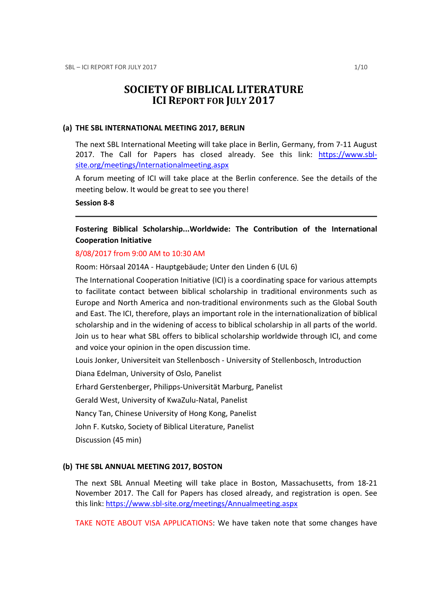# SOCIETY OF BIBLICAL LITERATURE ICI REPORT FOR JULY 2017

#### (a) THE SBL INTERNATIONAL MEETING 2017, BERLIN

The next SBL International Meeting will take place in Berlin, Germany, from 7-11 August 2017. The Call for Papers has closed already. See this link: https://www.sblsite.org/meetings/Internationalmeeting.aspx

A forum meeting of ICI will take place at the Berlin conference. See the details of the meeting below. It would be great to see you there!

### Session 8-8

# Fostering Biblical Scholarship...Worldwide: The Contribution of the International Cooperation Initiative

#### 8/08/2017 from 9:00 AM to 10:30 AM

Room: Hörsaal 2014A - Hauptgebäude; Unter den Linden 6 (UL 6)

The International Cooperation Initiative (ICI) is a coordinating space for various attempts to facilitate contact between biblical scholarship in traditional environments such as Europe and North America and non-traditional environments such as the Global South and East. The ICI, therefore, plays an important role in the internationalization of biblical scholarship and in the widening of access to biblical scholarship in all parts of the world. Join us to hear what SBL offers to biblical scholarship worldwide through ICI, and come and voice your opinion in the open discussion time.

Louis Jonker, Universiteit van Stellenbosch - University of Stellenbosch, Introduction

Diana Edelman, University of Oslo, Panelist

Erhard Gerstenberger, Philipps-Universität Marburg, Panelist

Gerald West, University of KwaZulu-Natal, Panelist

Nancy Tan, Chinese University of Hong Kong, Panelist

John F. Kutsko, Society of Biblical Literature, Panelist

Discussion (45 min)

### (b) THE SBL ANNUAL MEETING 2017, BOSTON

The next SBL Annual Meeting will take place in Boston, Massachusetts, from 18-21 November 2017. The Call for Papers has closed already, and registration is open. See this link: https://www.sbl-site.org/meetings/Annualmeeting.aspx

TAKE NOTE ABOUT VISA APPLICATIONS: We have taken note that some changes have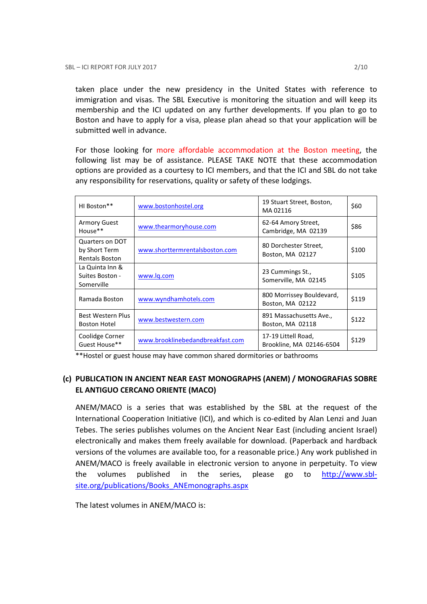taken place under the new presidency in the United States with reference to immigration and visas. The SBL Executive is monitoring the situation and will keep its membership and the ICI updated on any further developments. If you plan to go to Boston and have to apply for a visa, please plan ahead so that your application will be submitted well in advance.

For those looking for more affordable accommodation at the Boston meeting, the following list may be of assistance. PLEASE TAKE NOTE that these accommodation options are provided as a courtesy to ICI members, and that the ICI and SBL do not take any responsibility for reservations, quality or safety of these lodgings.

| HI Boston**                                               | www.bostonhostel.org             | 19 Stuart Street, Boston,<br>MA02116            | \$60  |
|-----------------------------------------------------------|----------------------------------|-------------------------------------------------|-------|
| <b>Armory Guest</b><br>House**                            | www.thearmoryhouse.com           | 62-64 Amory Street,<br>Cambridge, MA 02139      | \$86  |
| Quarters on DOT<br>by Short Term<br><b>Rentals Boston</b> | www.shorttermrentalsboston.com   | 80 Dorchester Street,<br>Boston, MA 02127       | \$100 |
| La Quinta Inn &<br>Suites Boston -<br>Somerville          | www.lg.com                       | 23 Cummings St.,<br>Somerville, MA 02145        | \$105 |
| Ramada Boston                                             | www.wyndhamhotels.com            | 800 Morrissey Bouldevard,<br>Boston, MA 02122   | \$119 |
| Best Western Plus<br><b>Boston Hotel</b>                  | www.bestwestern.com              | 891 Massachusetts Ave.,<br>Boston, MA 02118     | \$122 |
| Coolidge Corner<br>Guest House**                          | www.brooklinebedandbreakfast.com | 17-19 Littell Road,<br>Brookline, MA 02146-6504 | \$129 |

\*\*Hostel or guest house may have common shared dormitories or bathrooms

# (c) PUBLICATION IN ANCIENT NEAR EAST MONOGRAPHS (ANEM) / MONOGRAFIAS SOBRE EL ANTIGUO CERCANO ORIENTE (MACO)

ANEM/MACO is a series that was established by the SBL at the request of the International Cooperation Initiative (ICI), and which is co-edited by Alan Lenzi and Juan Tebes. The series publishes volumes on the Ancient Near East (including ancient Israel) electronically and makes them freely available for download. (Paperback and hardback versions of the volumes are available too, for a reasonable price.) Any work published in ANEM/MACO is freely available in electronic version to anyone in perpetuity. To view the volumes published in the series, please go to http://www.sblsite.org/publications/Books\_ANEmonographs.aspx

The latest volumes in ANEM/MACO is: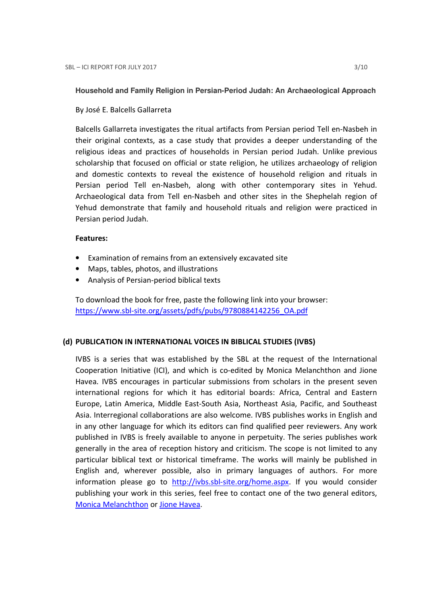**Household and Family Religion in Persian-Period Judah: An Archaeological Approach** 

By José E. Balcells Gallarreta

Balcells Gallarreta investigates the ritual artifacts from Persian period Tell en-Nasbeh in their original contexts, as a case study that provides a deeper understanding of the religious ideas and practices of households in Persian period Judah. Unlike previous scholarship that focused on official or state religion, he utilizes archaeology of religion and domestic contexts to reveal the existence of household religion and rituals in Persian period Tell en-Nasbeh, along with other contemporary sites in Yehud. Archaeological data from Tell en-Nasbeh and other sites in the Shephelah region of Yehud demonstrate that family and household rituals and religion were practiced in Persian period Judah.

### Features:

- Examination of remains from an extensively excavated site
- Maps, tables, photos, and illustrations
- Analysis of Persian-period biblical texts

To download the book for free, paste the following link into your browser: https://www.sbl-site.org/assets/pdfs/pubs/9780884142256\_OA.pdf

### (d) PUBLICATION IN INTERNATIONAL VOICES IN BIBLICAL STUDIES (IVBS)

IVBS is a series that was established by the SBL at the request of the International Cooperation Initiative (ICI), and which is co-edited by Monica Melanchthon and Jione Havea. IVBS encourages in particular submissions from scholars in the present seven international regions for which it has editorial boards: Africa, Central and Eastern Europe, Latin America, Middle East-South Asia, Northeast Asia, Pacific, and Southeast Asia. Interregional collaborations are also welcome. IVBS publishes works in English and in any other language for which its editors can find qualified peer reviewers. Any work published in IVBS is freely available to anyone in perpetuity. The series publishes work generally in the area of reception history and criticism. The scope is not limited to any particular biblical text or historical timeframe. The works will mainly be published in English and, wherever possible, also in primary languages of authors. For more information please go to http://ivbs.sbl-site.org/home.aspx. If you would consider publishing your work in this series, feel free to contact one of the two general editors, Monica Melanchthon or Jione Havea.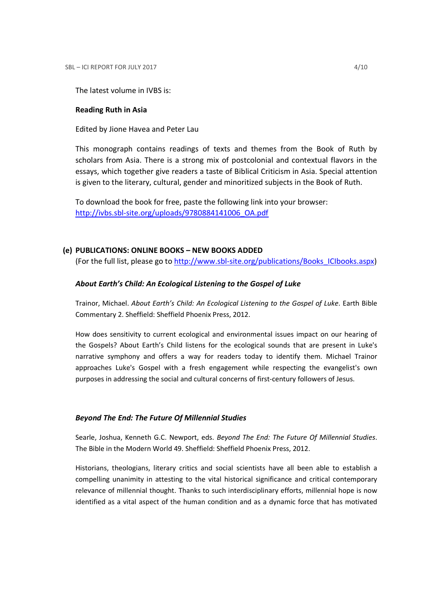The latest volume in IVBS is:

#### Reading Ruth in Asia

Edited by Jione Havea and Peter Lau

This monograph contains readings of texts and themes from the Book of Ruth by scholars from Asia. There is a strong mix of postcolonial and contextual flavors in the essays, which together give readers a taste of Biblical Criticism in Asia. Special attention is given to the literary, cultural, gender and minoritized subjects in the Book of Ruth.

To download the book for free, paste the following link into your browser: http://ivbs.sbl-site.org/uploads/9780884141006\_OA.pdf

### (e) PUBLICATIONS: ONLINE BOOKS – NEW BOOKS ADDED

(For the full list, please go to http://www.sbl-site.org/publications/Books\_ICIbooks.aspx)

#### About Earth's Child: An Ecological Listening to the Gospel of Luke

Trainor, Michael. About Earth's Child: An Ecological Listening to the Gospel of Luke. Earth Bible Commentary 2. Sheffield: Sheffield Phoenix Press, 2012.

How does sensitivity to current ecological and environmental issues impact on our hearing of the Gospels? About Earth's Child listens for the ecological sounds that are present in Luke's narrative symphony and offers a way for readers today to identify them. Michael Trainor approaches Luke's Gospel with a fresh engagement while respecting the evangelist's own purposes in addressing the social and cultural concerns of first-century followers of Jesus.

#### Beyond The End: The Future Of Millennial Studies

Searle, Joshua, Kenneth G.C. Newport, eds. Beyond The End: The Future Of Millennial Studies. The Bible in the Modern World 49. Sheffield: Sheffield Phoenix Press, 2012.

Historians, theologians, literary critics and social scientists have all been able to establish a compelling unanimity in attesting to the vital historical significance and critical contemporary relevance of millennial thought. Thanks to such interdisciplinary efforts, millennial hope is now identified as a vital aspect of the human condition and as a dynamic force that has motivated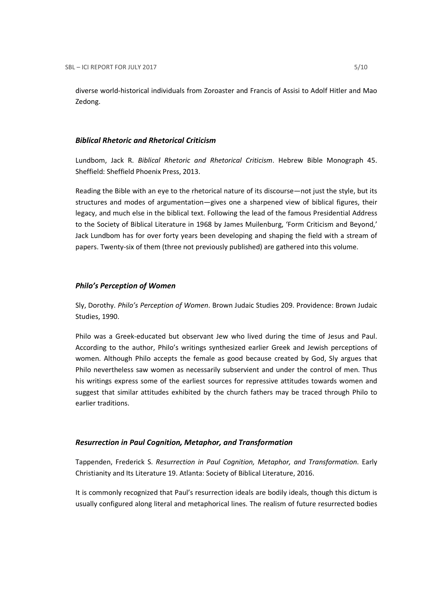diverse world-historical individuals from Zoroaster and Francis of Assisi to Adolf Hitler and Mao Zedong.

### Biblical Rhetoric and Rhetorical Criticism

Lundbom, Jack R. Biblical Rhetoric and Rhetorical Criticism. Hebrew Bible Monograph 45. Sheffield: Sheffield Phoenix Press, 2013.

Reading the Bible with an eye to the rhetorical nature of its discourse—not just the style, but its structures and modes of argumentation—gives one a sharpened view of biblical figures, their legacy, and much else in the biblical text. Following the lead of the famous Presidential Address to the Society of Biblical Literature in 1968 by James Muilenburg, 'Form Criticism and Beyond,' Jack Lundbom has for over forty years been developing and shaping the field with a stream of papers. Twenty-six of them (three not previously published) are gathered into this volume.

### Philo's Perception of Women

Sly, Dorothy. Philo's Perception of Women. Brown Judaic Studies 209. Providence: Brown Judaic Studies, 1990.

Philo was a Greek-educated but observant Jew who lived during the time of Jesus and Paul. According to the author, Philo's writings synthesized earlier Greek and Jewish perceptions of women. Although Philo accepts the female as good because created by God, Sly argues that Philo nevertheless saw women as necessarily subservient and under the control of men. Thus his writings express some of the earliest sources for repressive attitudes towards women and suggest that similar attitudes exhibited by the church fathers may be traced through Philo to earlier traditions.

### Resurrection in Paul Cognition, Metaphor, and Transformation

Tappenden, Frederick S. Resurrection in Paul Cognition, Metaphor, and Transformation. Early Christianity and Its Literature 19. Atlanta: Society of Biblical Literature, 2016.

It is commonly recognized that Paul's resurrection ideals are bodily ideals, though this dictum is usually configured along literal and metaphorical lines. The realism of future resurrected bodies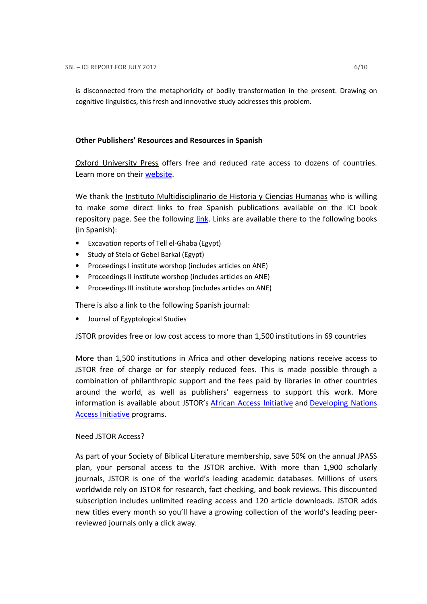is disconnected from the metaphoricity of bodily transformation in the present. Drawing on cognitive linguistics, this fresh and innovative study addresses this problem.

# Other Publishers' Resources and Resources in Spanish

Oxford University Press offers free and reduced rate access to dozens of countries. Learn more on their website.

We thank the Instituto Multidisciplinario de Historia y Ciencias Humanas who is willing to make some direct links to free Spanish publications available on the ICI book repository page. See the following link. Links are available there to the following books (in Spanish):

- Excavation reports of Tell el-Ghaba (Egypt)
- Study of Stela of Gebel Barkal (Egypt)
- Proceedings I institute worshop (includes articles on ANE)
- Proceedings II institute worshop (includes articles on ANE)
- Proceedings III institute worshop (includes articles on ANE)

There is also a link to the following Spanish journal:

• Journal of Egyptological Studies

# JSTOR provides free or low cost access to more than 1,500 institutions in 69 countries

More than 1,500 institutions in Africa and other developing nations receive access to JSTOR free of charge or for steeply reduced fees. This is made possible through a combination of philanthropic support and the fees paid by libraries in other countries around the world, as well as publishers' eagerness to support this work. More information is available about JSTOR's African Access Initiative and Developing Nations Access Initiative programs.

# Need JSTOR Access?

As part of your Society of Biblical Literature membership, save 50% on the annual JPASS plan, your personal access to the JSTOR archive. With more than 1,900 scholarly journals, JSTOR is one of the world's leading academic databases. Millions of users worldwide rely on JSTOR for research, fact checking, and book reviews. This discounted subscription includes unlimited reading access and 120 article downloads. JSTOR adds new titles every month so you'll have a growing collection of the world's leading peerreviewed journals only a click away.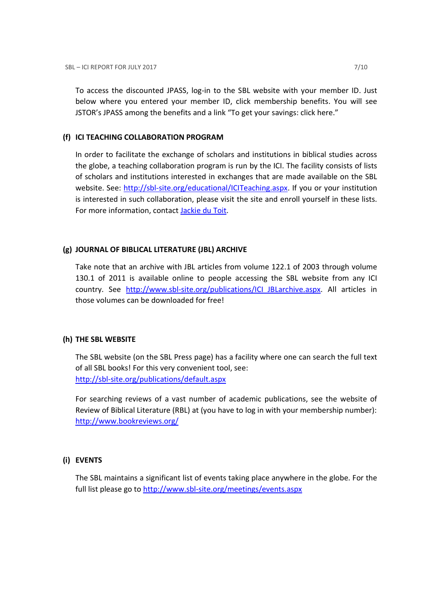To access the discounted JPASS, log-in to the SBL website with your member ID. Just below where you entered your member ID, click membership benefits. You will see JSTOR's JPASS among the benefits and a link "To get your savings: click here."

### (f) ICI TEACHING COLLABORATION PROGRAM

In order to facilitate the exchange of scholars and institutions in biblical studies across the globe, a teaching collaboration program is run by the ICI. The facility consists of lists of scholars and institutions interested in exchanges that are made available on the SBL website. See: http://sbl-site.org/educational/ICITeaching.aspx. If you or your institution is interested in such collaboration, please visit the site and enroll yourself in these lists. For more information, contact Jackie du Toit.

# (g) JOURNAL OF BIBLICAL LITERATURE (JBL) ARCHIVE

Take note that an archive with JBL articles from volume 122.1 of 2003 through volume 130.1 of 2011 is available online to people accessing the SBL website from any ICI country. See http://www.sbl-site.org/publications/ICI\_JBLarchive.aspx. All articles in those volumes can be downloaded for free!

# (h) THE SBL WEBSITE

The SBL website (on the SBL Press page) has a facility where one can search the full text of all SBL books! For this very convenient tool, see: http://sbl-site.org/publications/default.aspx

For searching reviews of a vast number of academic publications, see the website of Review of Biblical Literature (RBL) at (you have to log in with your membership number): http://www.bookreviews.org/

# (i) EVENTS

The SBL maintains a significant list of events taking place anywhere in the globe. For the full list please go to http://www.sbl-site.org/meetings/events.aspx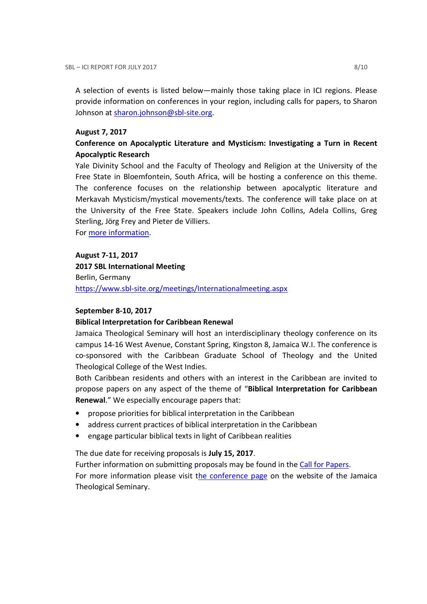A selection of events is listed below—mainly those taking place in ICI regions. Please provide information on conferences in your region, including calls for papers, to Sharon Johnson at sharon.johnson@sbl-site.org.

### August 7, 2017

# Conference on Apocalyptic Literature and Mysticism: Investigating a Turn in Recent Apocalyptic Research

Yale Divinity School and the Faculty of Theology and Religion at the University of the Free State in Bloemfontein, South Africa, will be hosting a conference on this theme. The conference focuses on the relationship between apocalyptic literature and Merkavah Mysticism/mystical movements/texts. The conference will take place on at the University of the Free State. Speakers include John Collins, Adela Collins, Greg Sterling, Jörg Frey and Pieter de Villiers.

For more information.

August 7-11, 2017 2017 SBL International Meeting Berlin, Germany https://www.sbl-site.org/meetings/Internationalmeeting.aspx

### September 8-10, 2017

### Biblical Interpretation for Caribbean Renewal

Jamaica Theological Seminary will host an interdisciplinary theology conference on its campus 14-16 West Avenue, Constant Spring, Kingston 8, Jamaica W.I. The conference is co-sponsored with the Caribbean Graduate School of Theology and the United Theological College of the West Indies.

Both Caribbean residents and others with an interest in the Caribbean are invited to propose papers on any aspect of the theme of "Biblical Interpretation for Caribbean Renewal." We especially encourage papers that:

- propose priorities for biblical interpretation in the Caribbean
- address current practices of biblical interpretation in the Caribbean
- engage particular biblical texts in light of Caribbean realities

The due date for receiving proposals is July 15, 2017.

Further information on submitting proposals may be found in the Call for Papers.

For more information please visit the conference page on the website of the Jamaica Theological Seminary.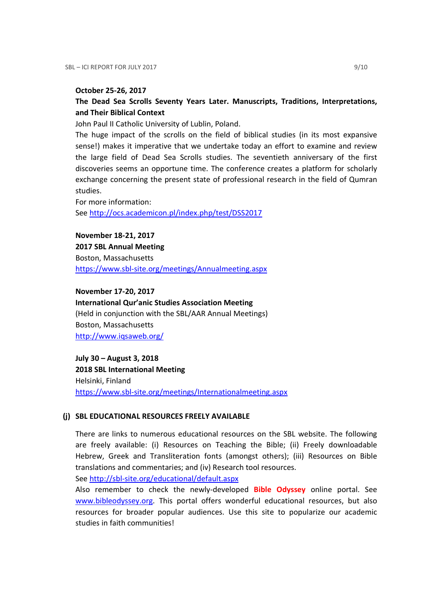#### October 25-26, 2017

# The Dead Sea Scrolls Seventy Years Later. Manuscripts, Traditions, Interpretations, and Their Biblical Context

John Paul II Catholic University of Lublin, Poland.

The huge impact of the scrolls on the field of biblical studies (in its most expansive sense!) makes it imperative that we undertake today an effort to examine and review the large field of Dead Sea Scrolls studies. The seventieth anniversary of the first discoveries seems an opportune time. The conference creates a platform for scholarly exchange concerning the present state of professional research in the field of Qumran studies.

For more information: See http://ocs.academicon.pl/index.php/test/DSS2017

November 18-21, 2017

2017 SBL Annual Meeting Boston, Massachusetts https://www.sbl-site.org/meetings/Annualmeeting.aspx

November 17-20, 2017

International Qur'anic Studies Association Meeting (Held in conjunction with the SBL/AAR Annual Meetings) Boston, Massachusetts http://www.iqsaweb.org/

July 30 – August 3, 2018 2018 SBL International Meeting Helsinki, Finland https://www.sbl-site.org/meetings/Internationalmeeting.aspx

### (j) SBL EDUCATIONAL RESOURCES FREELY AVAILABLE

There are links to numerous educational resources on the SBL website. The following are freely available: (i) Resources on Teaching the Bible; (ii) Freely downloadable Hebrew, Greek and Transliteration fonts (amongst others); (iii) Resources on Bible translations and commentaries; and (iv) Research tool resources.

See http://sbl-site.org/educational/default.aspx

Also remember to check the newly-developed Bible Odyssey online portal. See www.bibleodyssey.org. This portal offers wonderful educational resources, but also resources for broader popular audiences. Use this site to popularize our academic studies in faith communities!